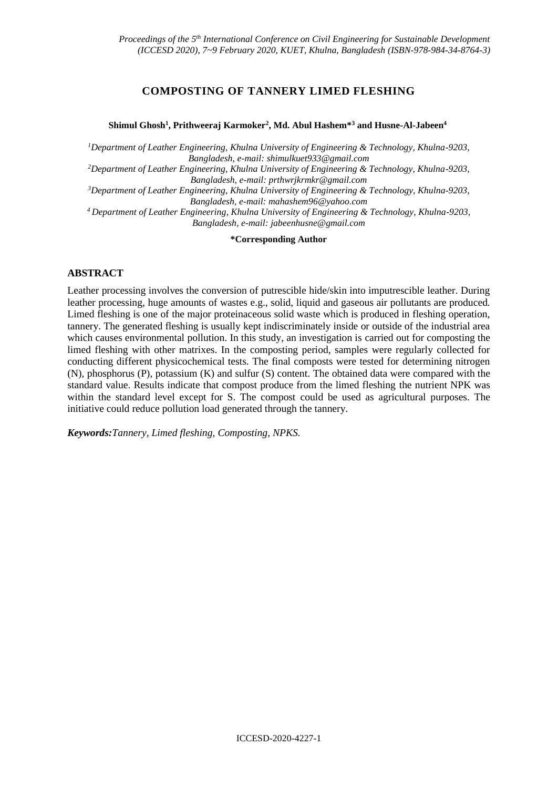# **COMPOSTING OF TANNERY LIMED FLESHING**

#### **Shimul Ghosh<sup>1</sup> , Prithweeraj Karmoker<sup>2</sup> , Md. Abul Hashem\*<sup>3</sup> and Husne-Al-Jabeen<sup>4</sup>**

*<sup>1</sup>Department of Leather Engineering, Khulna University of Engineering & Technology, Khulna-9203, Bangladesh, e-mail: [shimulkuet933@gmail.com](mailto:shimulkuet933@gmail.com)*

*<sup>2</sup>Department of Leather Engineering, Khulna University of Engineering & Technology, Khulna-9203, Bangladesh, e-mail: [prthwrjkrmkr@gmail.com](mailto:prthwrjkrmkr@gmail.com)*

*<sup>3</sup>Department of Leather Engineering, Khulna University of Engineering & Technology, Khulna-9203, Bangladesh, e-mail: mahashem96@yahoo.com*

*<sup>4</sup>Department of Leather Engineering, Khulna University of Engineering & Technology, Khulna-9203, Bangladesh, e-mail: [jabeenhusne@gmail.com](mailto:jabeenhusne@gmail.com)*

**\*Corresponding Author**

#### **ABSTRACT**

Leather processing involves the conversion of putrescible hide/skin into imputrescible leather. During leather processing, huge amounts of wastes e.g., solid, liquid and gaseous air pollutants are produced. Limed fleshing is one of the major proteinaceous solid waste which is produced in fleshing operation, tannery. The generated fleshing is usually kept indiscriminately inside or outside of the industrial area which causes environmental pollution. In this study, an investigation is carried out for composting the limed fleshing with other matrixes. In the composting period, samples were regularly collected for conducting different physicochemical tests. The final composts were tested for determining nitrogen (N), phosphorus (P), potassium (K) and sulfur (S) content. The obtained data were compared with the standard value. Results indicate that compost produce from the limed fleshing the nutrient NPK was within the standard level except for S. The compost could be used as agricultural purposes. The initiative could reduce pollution load generated through the tannery.

*Keywords:Tannery, Limed fleshing, Composting, NPKS.*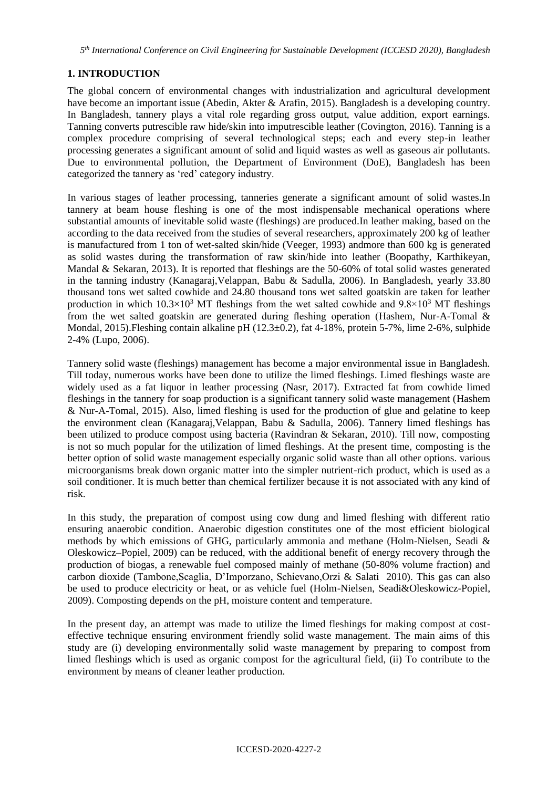## **1. INTRODUCTION**

The global concern of environmental changes with industrialization and agricultural development have become an important issue (Abedin, Akter & Arafin, 2015). Bangladesh is a developing country. In Bangladesh, tannery plays a vital role regarding gross output, value addition, export earnings. Tanning converts putrescible raw hide/skin into imputrescible leather (Covington, 2016). Tanning is a complex procedure comprising of several technological steps; each and every step-in leather processing generates a significant amount of solid and liquid wastes as well as gaseous air pollutants. Due to environmental pollution, the Department of Environment (DoE), Bangladesh has been categorized the tannery as 'red' category industry.

In various stages of leather processing, tanneries generate a significant amount of solid wastes.In tannery at beam house fleshing is one of the most indispensable mechanical operations where substantial amounts of inevitable solid waste (fleshings) are produced.In leather making, based on the according to the data received from the studies of several researchers, approximately 200 kg of leather is manufactured from 1 ton of wet-salted skin/hide (Veeger, 1993) andmore than 600 kg is generated as solid wastes during the transformation of raw skin/hide into leather (Boopathy, Karthikeyan, Mandal & Sekaran, 2013). It is reported that fleshings are the 50-60% of total solid wastes generated in the tanning industry (Kanagaraj,Velappan, Babu & Sadulla, 2006). In Bangladesh, yearly 33.80 thousand tons wet salted cowhide and 24.80 thousand tons wet salted goatskin are taken for leather production in which  $10.3\times10^3$  MT fleshings from the wet salted cowhide and  $9.8\times10^3$  MT fleshings from the wet salted goatskin are generated during fleshing operation (Hashem, Nur-A-Tomal & Mondal, 2015). Fleshing contain alkaline pH (12.3±0.2), fat 4-18%, protein 5-7%, lime 2-6%, sulphide 2-4% (Lupo, 2006).

Tannery solid waste (fleshings) management has become a major environmental issue in Bangladesh. Till today, numerous works have been done to utilize the limed fleshings. Limed fleshings waste are widely used as a fat liquor in leather processing (Nasr, 2017). Extracted fat from cowhide limed fleshings in the tannery for soap production is a significant tannery solid waste management (Hashem & Nur-A-Tomal, 2015). Also, limed fleshing is used for the production of glue and gelatine to keep the environment clean (Kanagaraj,Velappan, Babu & Sadulla, 2006). Tannery limed fleshings has been utilized to produce compost using bacteria (Ravindran & Sekaran, 2010). Till now, composting is not so much popular for the utilization of limed fleshings. At the present time, composting is the better option of solid waste management especially organic solid waste than all other options. various microorganisms break down organic matter into the simpler nutrient-rich product, which is used as a soil conditioner. It is much better than chemical fertilizer because it is not associated with any kind of risk.

In this study, the preparation of compost using cow dung and limed fleshing with different ratio ensuring anaerobic condition. Anaerobic digestion constitutes one of the most efficient biological methods by which emissions of GHG, particularly ammonia and methane (Holm-Nielsen, Seadi & Oleskowicz–Popiel, 2009) can be reduced, with the additional benefit of energy recovery through the production of biogas, a renewable fuel composed mainly of methane (50-80% volume fraction) and carbon dioxide (Tambone,Scaglia, D'Imporzano, Schievano,Orzi & Salati 2010). This gas can also be used to produce electricity or heat, or as vehicle fuel (Holm-Nielsen, Seadi&Oleskowicz-Popiel, 2009). Composting depends on the pH, moisture content and temperature.

In the present day, an attempt was made to utilize the limed fleshings for making compost at costeffective technique ensuring environment friendly solid waste management. The main aims of this study are (i) developing environmentally solid waste management by preparing to compost from limed fleshings which is used as organic compost for the agricultural field, (ii) To contribute to the environment by means of cleaner leather production.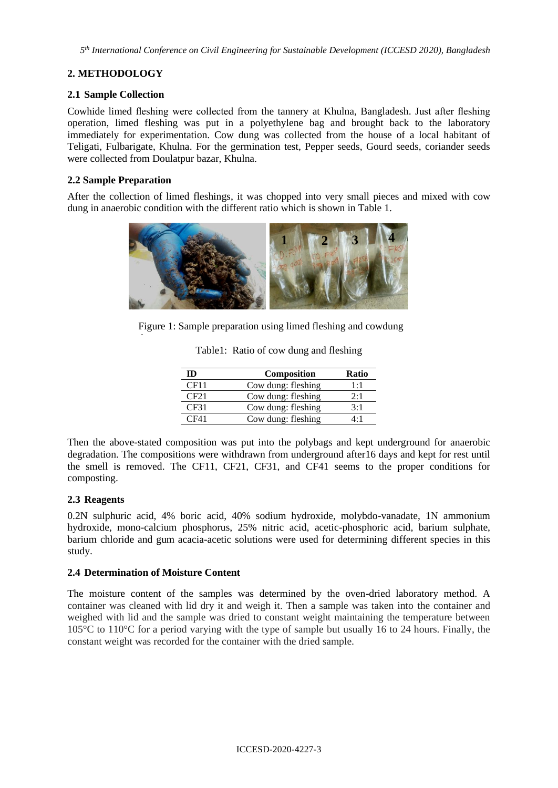*5 th International Conference on Civil Engineering for Sustainable Development (ICCESD 2020), Bangladesh*

# **2. METHODOLOGY**

### **2.1 Sample Collection**

Cowhide limed fleshing were collected from the tannery at Khulna, Bangladesh. Just after fleshing operation, limed fleshing was put in a polyethylene bag and brought back to the laboratory immediately for experimentation. Cow dung was collected from the house of a local habitant of Teligati, Fulbarigate, Khulna. For the germination test, Pepper seeds, Gourd seeds, coriander seeds were collected from Doulatpur bazar, Khulna.

### **2.2 Sample Preparation**

After the collection of limed fleshings, it was chopped into very small pieces and mixed with cow dung in anaerobic condition with the different ratio which is shown in Table 1.



Figure 1: Sample preparation using limed fleshing and cowdung

| ID   | <b>Composition</b> | Ratio |
|------|--------------------|-------|
| CF11 | Cow dung: fleshing | 1.1   |
| CF21 | Cow dung: fleshing | 2.1   |
| CF31 | Cow dung: fleshing | 3.1   |
| CF41 | Cow dung: fleshing | 1۰۱   |

Table1: Ratio of cow dung and fleshing

Then the above-stated composition was put into the polybags and kept underground for anaerobic degradation. The compositions were withdrawn from underground after16 days and kept for rest until the smell is removed. The CF11, CF21, CF31, and CF41 seems to the proper conditions for composting.

## **2.3 Reagents**

0.2N sulphuric acid, 4% boric acid, 40% sodium hydroxide, molybdo-vanadate, 1N ammonium hydroxide, mono-calcium phosphorus, 25% nitric acid, acetic-phosphoric acid, barium sulphate, barium chloride and gum acacia-acetic solutions were used for determining different species in this study.

## **2.4 Determination of Moisture Content**

The moisture content of the samples was determined by the oven-dried laboratory method. A container was cleaned with lid dry it and weigh it. Then a sample was taken into the container and weighed with lid and the sample was dried to constant weight maintaining the temperature between 105°C to 110°C for a period varying with the type of sample but usually 16 to 24 hours. Finally, the constant weight was recorded for the container with the dried sample.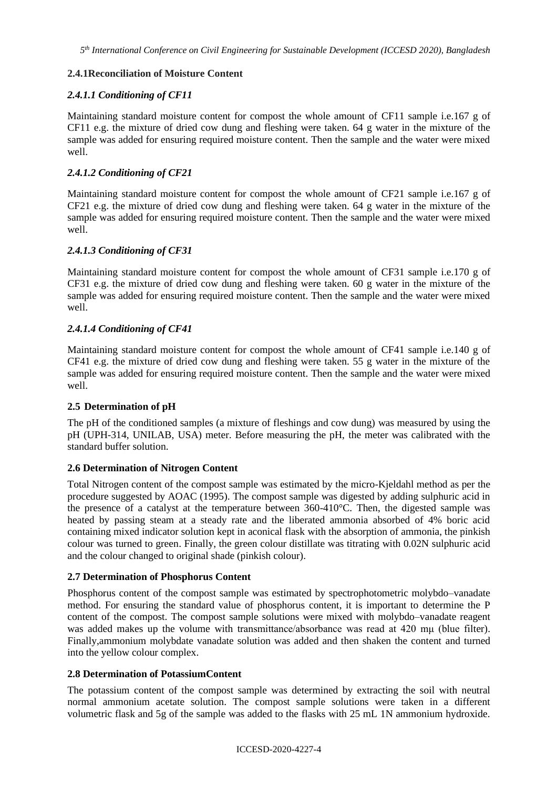### **2.4.1Reconciliation of Moisture Content**

### *2.4.1.1 Conditioning of CF11*

Maintaining standard moisture content for compost the whole amount of CF11 sample i.e.167 g of CF11 e.g. the mixture of dried cow dung and fleshing were taken. 64 g water in the mixture of the sample was added for ensuring required moisture content. Then the sample and the water were mixed well.

### *2.4.1.2 Conditioning of CF21*

Maintaining standard moisture content for compost the whole amount of CF21 sample i.e.167 g of CF21 e.g. the mixture of dried cow dung and fleshing were taken. 64 g water in the mixture of the sample was added for ensuring required moisture content. Then the sample and the water were mixed well.

### *2.4.1.3 Conditioning of CF31*

Maintaining standard moisture content for compost the whole amount of CF31 sample i.e.170 g of CF31 e.g. the mixture of dried cow dung and fleshing were taken. 60 g water in the mixture of the sample was added for ensuring required moisture content. Then the sample and the water were mixed well.

### *2.4.1.4 Conditioning of CF41*

Maintaining standard moisture content for compost the whole amount of CF41 sample i.e.140 g of CF41 e.g. the mixture of dried cow dung and fleshing were taken. 55 g water in the mixture of the sample was added for ensuring required moisture content. Then the sample and the water were mixed well.

### **2.5 Determination of pH**

The pH of the conditioned samples (a mixture of fleshings and cow dung) was measured by using the pH (UPH-314, UNILAB, USA) meter. Before measuring the pH, the meter was calibrated with the standard buffer solution.

### **2.6 Determination of Nitrogen Content**

Total Nitrogen content of the compost sample was estimated by the micro-Kjeldahl method as per the procedure suggested by AOAC (1995). The compost sample was digested by adding sulphuric acid in the presence of a catalyst at the temperature between  $360-410^{\circ}$ C. Then, the digested sample was heated by passing steam at a steady rate and the liberated ammonia absorbed of 4% boric acid containing mixed indicator solution kept in aconical flask with the absorption of ammonia, the pinkish colour was turned to green. Finally, the green colour distillate was titrating with 0.02N sulphuric acid and the colour changed to original shade (pinkish colour).

### **2.7 Determination of Phosphorus Content**

Phosphorus content of the compost sample was estimated by spectrophotometric molybdo–vanadate method. For ensuring the standard value of phosphorus content, it is important to determine the P content of the compost. The compost sample solutions were mixed with molybdo–vanadate reagent was added makes up the volume with transmittance/absorbance was read at 420 mμ (blue filter). Finally,ammonium molybdate vanadate solution was added and then shaken the content and turned into the yellow colour complex.

### **2.8 Determination of PotassiumContent**

The potassium content of the compost sample was determined by extracting the soil with neutral normal ammonium acetate solution. The compost sample solutions were taken in a different volumetric flask and 5g of the sample was added to the flasks with 25 mL 1N ammonium hydroxide.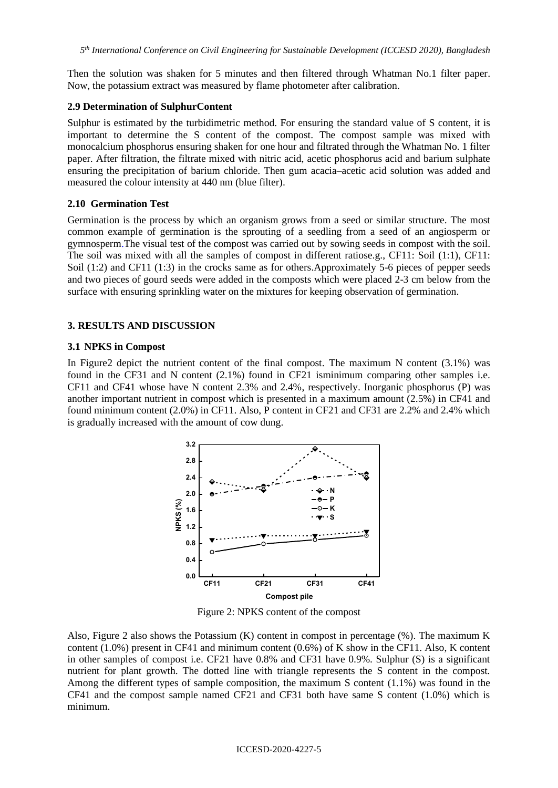Then the solution was shaken for 5 minutes and then filtered through Whatman No.1 filter paper. Now, the potassium extract was measured by flame photometer after calibration.

#### **2.9 Determination of SulphurContent**

Sulphur is estimated by the turbidimetric method. For ensuring the standard value of S content, it is important to determine the S content of the compost. The compost sample was mixed with monocalcium phosphorus ensuring shaken for one hour and filtrated through the Whatman No. 1 filter paper. After filtration, the filtrate mixed with nitric acid, acetic phosphorus acid and barium sulphate ensuring the precipitation of barium chloride. Then gum acacia–acetic acid solution was added and measured the colour intensity at 440 nm (blue filter).

#### **2.10 Germination Test**

Germination is the process by which an organism grows from a seed or similar structure. The most common example of germination is the sprouting of a seedling from a seed of an angiosperm or gymnosperm.The visual test of the compost was carried out by sowing seeds in compost with the soil. The soil was mixed with all the samples of compost in different ratiose.g., CF11: Soil (1:1), CF11: Soil (1:2) and CF11 (1:3) in the crocks same as for others.Approximately 5-6 pieces of pepper seeds and two pieces of gourd seeds were added in the composts which were placed 2-3 cm below from the surface with ensuring sprinkling water on the mixtures for keeping observation of germination.

#### **3. RESULTS AND DISCUSSION**

#### **3.1 NPKS in Compost**

In Figure 2 depict the nutrient content of the final compost. The maximum N content  $(3.1\%)$  was found in the CF31 and N content (2.1%) found in CF21 isminimum comparing other samples i.e. CF11 and CF41 whose have N content 2.3% and 2.4%, respectively. Inorganic phosphorus (P) was another important nutrient in compost which is presented in a maximum amount (2.5%) in CF41 and found minimum content (2.0%) in CF11. Also, P content in CF21 and CF31 are 2.2% and 2.4% which is gradually increased with the amount of cow dung.



Figure 2: NPKS content of the compost

Also, Figure 2 also shows the Potassium (K) content in compost in percentage (%). The maximum K content  $(1.0\%)$  present in CF41 and minimum content  $(0.6\%)$  of K show in the CF11. Also, K content in other samples of compost i.e. CF21 have 0.8% and CF31 have 0.9%. Sulphur (S) is a significant nutrient for plant growth. The dotted line with triangle represents the S content in the compost. Among the different types of sample composition, the maximum S content (1.1%) was found in the CF41 and the compost sample named CF21 and CF31 both have same S content (1.0%) which is minimum.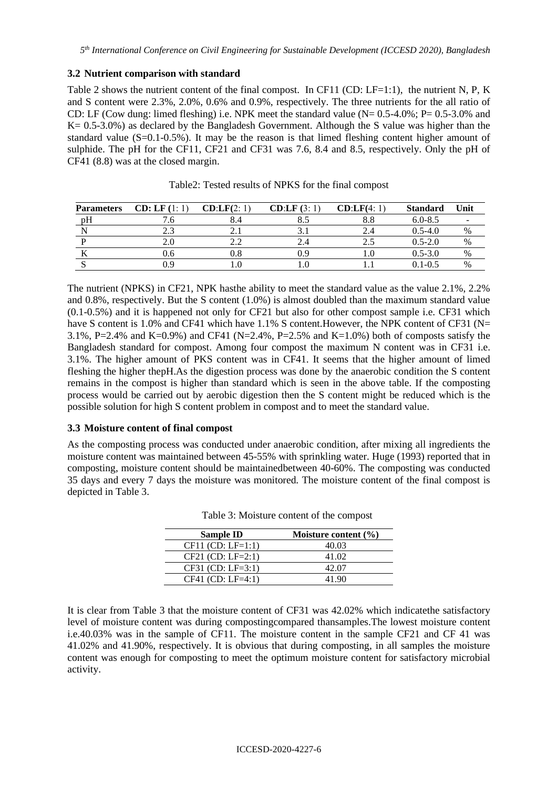### **3.2 Nutrient comparison with standard**

Table 2 shows the nutrient content of the final compost. In CF11 (CD: LF=1:1), the nutrient N, P, K and S content were 2.3%, 2.0%, 0.6% and 0.9%, respectively. The three nutrients for the all ratio of CD: LF (Cow dung: limed fleshing) i.e. NPK meet the standard value (N= 0.5-4.0%; P= 0.5-3.0% and K = 0.5-3.0%) as declared by the Bangladesh Government. Although the S value was higher than the standard value (S=0.1-0.5%). It may be the reason is that limed fleshing content higher amount of sulphide. The pH for the CF11, CF21 and CF31 was 7.6, 8.4 and 8.5, respectively. Only the pH of CF41 (8.8) was at the closed margin.

| <b>Parameters</b> | <b>CD: LF</b> (1: 1 | CD:LF(2:1) | CD:LF(3:1) | CD:LF(4:1) | <b>Standard</b> | Unit |
|-------------------|---------------------|------------|------------|------------|-----------------|------|
| pH                |                     |            |            | 8.8        | $6.0 - 8.5$     |      |
|                   | 2.3                 |            |            | 2.4        | $0.5 - 4.0$     | $\%$ |
|                   | 2.C                 |            |            |            | $0.5 - 2.0$     | %    |
|                   | 0.6                 |            | ገ ዓ        | 1.0        | $0.5 - 3.0$     | $\%$ |
|                   |                     |            |            |            | 0.1-0.5         | $\%$ |

Table2: Tested results of NPKS for the final compost

The nutrient (NPKS) in CF21, NPK hasthe ability to meet the standard value as the value 2.1%, 2.2% and 0.8%, respectively. But the S content (1.0%) is almost doubled than the maximum standard value (0.1-0.5%) and it is happened not only for CF21 but also for other compost sample i.e. CF31 which have S content is 1.0% and CF41 which have 1.1% S content. However, the NPK content of CF31 (N= 3.1%, P=2.4% and K=0.9%) and CF41 (N=2.4%, P=2.5% and K=1.0%) both of composts satisfy the Bangladesh standard for compost. Among four compost the maximum N content was in CF31 i.e. 3.1%. The higher amount of PKS content was in CF41. It seems that the higher amount of limed fleshing the higher thepH.As the digestion process was done by the anaerobic condition the S content remains in the compost is higher than standard which is seen in the above table. If the composting process would be carried out by aerobic digestion then the S content might be reduced which is the possible solution for high S content problem in compost and to meet the standard value.

## **3.3 Moisture content of final compost**

As the composting process was conducted under anaerobic condition, after mixing all ingredients the moisture content was maintained between 45-55% with sprinkling water. Huge (1993) reported that in composting, moisture content should be maintainedbetween 40-60%. The composting was conducted 35 days and every 7 days the moisture was monitored. The moisture content of the final compost is depicted in Table 3.

| <b>Sample ID</b>    | Moisture content $(\% )$ |
|---------------------|--------------------------|
| $CF11 (CD: LF=1:1)$ | 40.03                    |
| $CF21 (CD: LF=2:1)$ | 41.02                    |
| $CF31 (CD: LF=3:1)$ | 42.07                    |
| $CF41 (CD: LF=4:1)$ | 41.90                    |

Table 3: Moisture content of the compost

It is clear from Table 3 that the moisture content of CF31 was 42.02% which indicatethe satisfactory level of moisture content was during compostingcompared thansamples.The lowest moisture content i.e.40.03% was in the sample of CF11. The moisture content in the sample CF21 and CF 41 was 41.02% and 41.90%, respectively. It is obvious that during composting, in all samples the moisture content was enough for composting to meet the optimum moisture content for satisfactory microbial activity.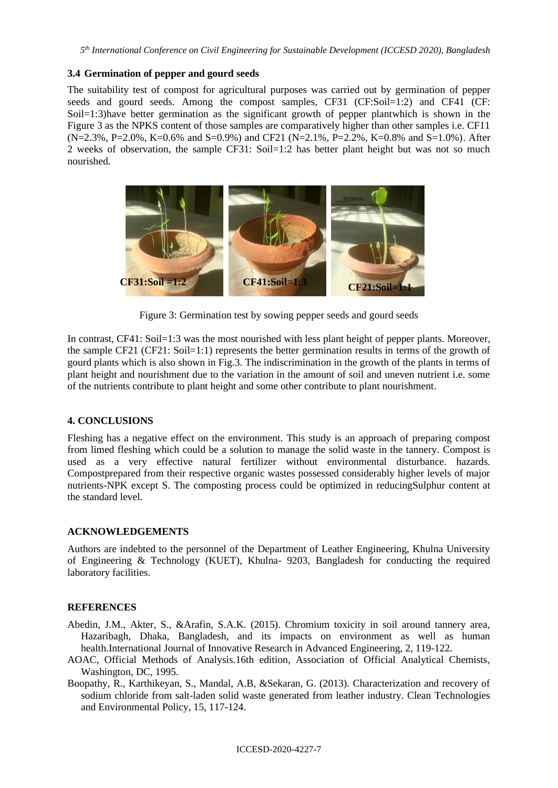### **3.4 Germination of pepper and gourd seeds**

The suitability test of compost for agricultural purposes was carried out by germination of pepper seeds and gourd seeds. Among the compost samples, CF31 (CF:Soil=1:2) and CF41 (CF: Soil=1:3)have better germination as the significant growth of pepper plantwhich is shown in the Figure 3 as the NPKS content of those samples are comparatively higher than other samples i.e. CF11 (N=2.3%, P=2.0%, K=0.6% and S=0.9%) and CF21 (N=2.1%, P=2.2%, K=0.8% and S=1.0%). After 2 weeks of observation, the sample CF31: Soil=1:2 has better plant height but was not so much nourished.



Figure 3: Germination test by sowing pepper seeds and gourd seeds

In contrast, CF41: Soil=1:3 was the most nourished with less plant height of pepper plants. Moreover, the sample CF21 (CF21: Soil=1:1) represents the better germination results in terms of the growth of gourd plants which is also shown in Fig.3. The indiscrimination in the growth of the plants in terms of plant height and nourishment due to the variation in the amount of soil and uneven nutrient i.e. some of the nutrients contribute to plant height and some other contribute to plant nourishment.

## **4. CONCLUSIONS**

Fleshing has a negative effect on the environment. This study is an approach of preparing compost from limed fleshing which could be a solution to manage the solid waste in the tannery. Compost is used as a very effective natural fertilizer without environmental disturbance. hazards. Compostprepared from their respective organic wastes possessed considerably higher levels of major nutrients-NPK except S. The composting process could be optimized in reducingSulphur content at the standard level.

## **ACKNOWLEDGEMENTS**

Authors are indebted to the personnel of the Department of Leather Engineering, Khulna University of Engineering & Technology (KUET), Khulna- 9203, Bangladesh for conducting the required laboratory facilities.

### **REFERENCES**

- Abedin, J.M., Akter, S., &Arafin, S.A.K. (2015). Chromium toxicity in soil around tannery area, Hazaribagh, Dhaka, Bangladesh, and its impacts on environment as well as human health.International Journal of Innovative Research in Advanced Engineering, 2, 119-122.
- AOAC, Official Methods of Analysis.16th edition, Association of Official Analytical Chemists, Washington, DC, 1995.
- Boopathy, R., Karthikeyan, S., Mandal, A.B, &Sekaran, G. (2013). Characterization and recovery of sodium chloride from salt-laden solid waste generated from leather industry. Clean Technologies and Environmental Policy, 15, 117-124.